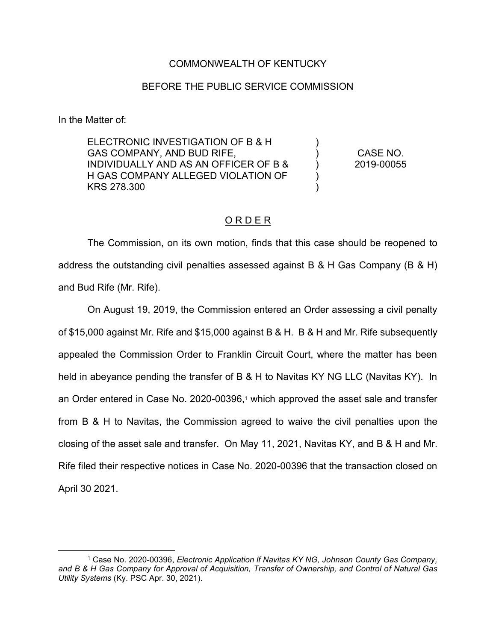## COMMONWEALTH OF KENTUCKY

## BEFORE THE PUBLIC SERVICE COMMISSION

In the Matter of:

ELECTRONIC INVESTIGATION OF B & H GAS COMPANY, AND BUD RIFE, INDIVIDUALLY AND AS AN OFFICER OF B & H GAS COMPANY ALLEGED VIOLATION OF KRS 278.300 )  $\lambda$ ) ) ) CASE NO. 2019-00055

## O R D E R

The Commission, on its own motion, finds that this case should be reopened to address the outstanding civil penalties assessed against B & H Gas Company (B & H) and Bud Rife (Mr. Rife).

On August 19, 2019, the Commission entered an Order assessing a civil penalty of \$15,000 against Mr. Rife and \$15,000 against B & H. B & H and Mr. Rife subsequently appealed the Commission Order to Franklin Circuit Court, where the matter has been held in abeyance pending the transfer of B & H to Navitas KY NG LLC (Navitas KY). In an Order entered in Case No. 2020-00396,<sup>1</sup> which approved the asset sale and transfer from B & H to Navitas, the Commission agreed to waive the civil penalties upon the closing of the asset sale and transfer. On May 11, 2021, Navitas KY, and B & H and Mr. Rife filed their respective notices in Case No. 2020-00396 that the transaction closed on April 30 2021.

<sup>1</sup> Case No. 2020-00396, *Electronic Application lf Navitas KY NG, Johnson County Gas Company, and B & H Gas Company for Approval of Acquisition, Transfer of Ownership, and Control of Natural Gas Utility Systems* (Ky. PSC Apr. 30, 2021).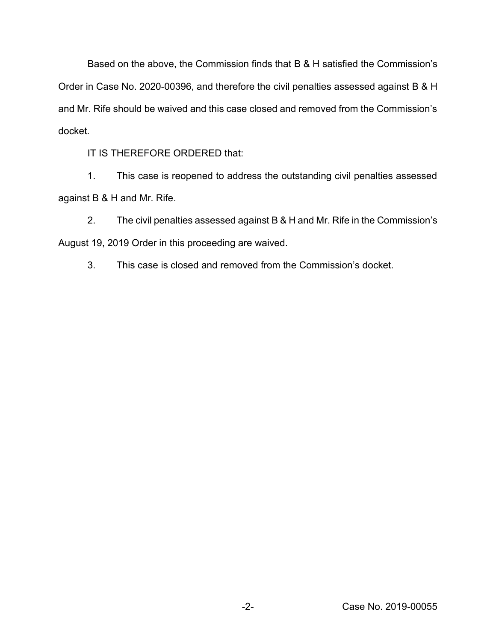Based on the above, the Commission finds that B & H satisfied the Commission's Order in Case No. 2020-00396, and therefore the civil penalties assessed against B & H and Mr. Rife should be waived and this case closed and removed from the Commission's docket.

IT IS THEREFORE ORDERED that:

1. This case is reopened to address the outstanding civil penalties assessed against B & H and Mr. Rife.

2. The civil penalties assessed against B & H and Mr. Rife in the Commission's August 19, 2019 Order in this proceeding are waived.

3. This case is closed and removed from the Commission's docket.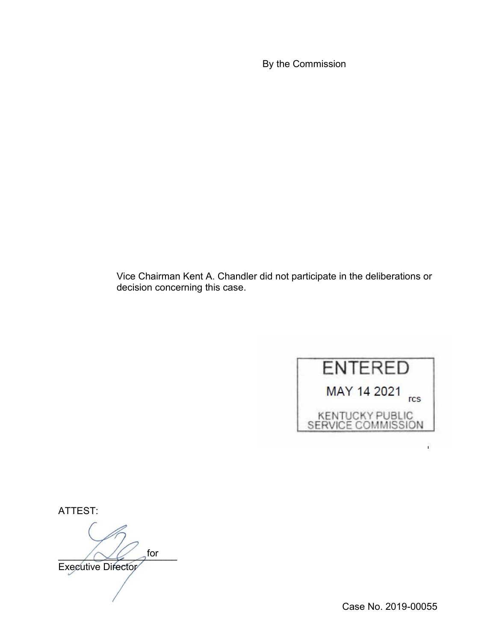By the Commission

Vice Chairman Kent A. Chandler did not participate in the deliberations or decision concerning this case.



ATTEST:

 $\bigwedge \bigvee \bigvee$  dor Executive Director for

Case No. 2019-00055